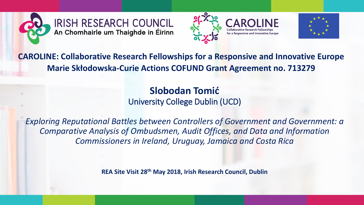





**CAROLINE: Collaborative Research Fellowships for a Responsive and Innovative Europe Marie Skłodowska-Curie Actions COFUND Grant Agreement no. 713279**

> **Slobodan Tomić** University College Dublin (UCD)

*Exploring Reputational Battles between Controllers of Government and Government: a Comparative Analysis of Ombudsmen, Audit Offices, and Data and Information Commissioners in Ireland, Uruguay, Jamaica and Costa Rica*

**REA Site Visit 28th May 2018, Irish Research Council, Dublin**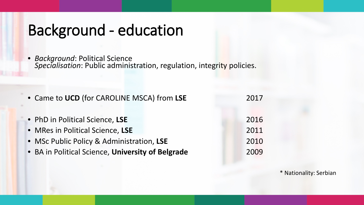# Background - education

• *Background*: Political Science *Specialisation*: Public administration, regulation, integrity policies.

| • Came to UCD (for CAROLINE MSCA) from LSE                          | 2017         |
|---------------------------------------------------------------------|--------------|
| • PhD in Political Science, LSE<br>• MRes in Political Science, LSE | 2016<br>2011 |
| • MSc Public Policy & Administration, LSE                           | 2010         |
| • BA in Political Science, University of Belgrade                   | 2009         |

\* Nationality: Serbian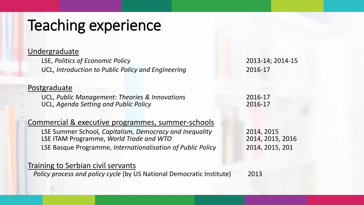# Teaching experience

### Undergraduate

LSE, *Politics of Economic Policy* 2013-14; 2014-15 UCL, *Introduction to Public Policy and Engineering* 2016-17

### Postgraduate

UCL, *Public Management: Theories & Innovations* 2016-17 UCL, *Agenda Setting and Public Policy* 2016-17

### Commercial & executive programmes, summer-schools

LSE Summer School*, Capitalism, Democracy and Inequality* 2014, 2015 LSE ITAM Programme, *World Trade and WTO* 2014, 2015, 2016 LSE Basque Programme, *Internationalisation of Public Policy* 2014, 2015, 201

### Training to Serbian civil servants

*Policy process and policy cycle (by US National Democratic Institute)* 2013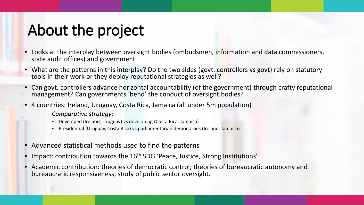# About the project

- Looks at the interplay between oversight bodies (ombudsmen, information and data commissioners, state audit offices) and government
- What are the patterns in this interplay? Do the two sides (govt. controllers vs govt) rely on statutory tools in their work or they deploy reputational strategies as well?
- Can govt. controllers advance horizontal accountability (of the government) through crafty reputational management? Can governments 'bend' the conduct of oversight bodies?
- 4 countries: Ireland, Uruguay, Costa Rica, Jamaica (all under 5m population)
	- *Comparative strategy:*
	- Developed (Ireland, Uruguay) vs developing (Costa Rica, Jamaica)
	- Presidential (Uruguay, Costa Rica) vs parliamentarian democracies (Ireland, Jamaica)
- Advanced statistical methods used to find the patterns
- Impact: contribution towards the 16<sup>th</sup> SDG 'Peace, Justice, Strong Institutions'
- Academic contribution: theories of democratic control; theories of bureaucratic autonomy and bureaucratic responsiveness; study of public sector oversight.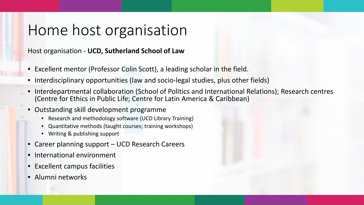### Home host organisation

Host organisation - **UCD, Sutherland School of Law**

- Excellent mentor (Professor Colin Scott), a leading scholar in the field.
- Interdisciplinary opportunities (law and socio-legal studies, plus other fields)
- Interdepartmental collaboration (School of Politics and International Relations); Research centres (Centre for Ethics in Public Life; Centre for Latin America & Caribbean)
- Outstanding skill development programme
	- Research and methodology software (UCD Library Training)
	- Quantitative methods (taught courses; training workshops)
	- Writing & publishing support
- Career planning support UCD Research Careers
- International environment
- Excellent campus facilities
- Alumni networks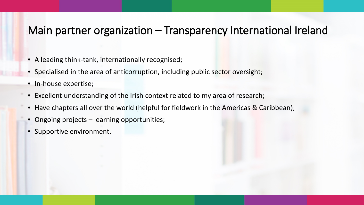### Main partner organization – Transparency International Ireland

- A leading think-tank, internationally recognised;
- Specialised in the area of anticorruption, including public sector oversight;
- In-house expertise;
- Excellent understanding of the Irish context related to my area of research;
- Have chapters all over the world (helpful for fieldwork in the Americas & Caribbean);
- Ongoing projects learning opportunities;
- Supportive environment.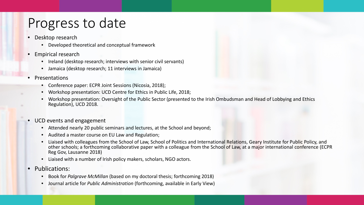### Progress to date

- Desktop research
	- Developed theoretical and conceptual framework
- Empirical research
	- Ireland (desktop research; interviews with senior civil servants)
	- Jamaica (desktop research; 11 interviews in Jamaica)

#### **Presentations**

- Conference paper: ECPR Joint Sessions (Nicosia, 2018);
- Workshop presentation: UCD Centre for Ethics in Public Life, 2018;
- Workshop presentation: Oversight of the Public Sector (presented to the Irish Ombudsman and Head of Lobbying and Ethics Regulation), UCD 2018.
- UCD events and engagement
	- Attended nearly 20 public seminars and lectures, at the School and beyond;
	- Audited a master course on EU Law and Regulation;
	- Liaised with colleagues from the School of Law, School of Politics and International Relations, Geary Institute for Public Policy, and other schools; a forthcoming collaborative paper with a colleague from the School of Law, at a major international conference (ECPR Reg Gov, Lausanne 2018)
	- Liaised with a number of Irish policy makers, scholars, NGO actors.
- Publications:
	- Book for *Palgrave McMillan* (based on my doctoral thesis; forthcoming 2018)
	- Journal article for *Public Administration* (forthcoming, available in Early View)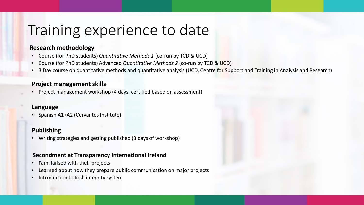### Training experience to date

#### **Research methodology**

- Course (for PhD students) *Quantitative Methods 1* (co-run by TCD & UCD)
- Course (for PhD students) Advanced *Quantitative Methods 2* (co-run by TCD & UCD)
- 3 Day course on quantitative methods and quantitative analysis (UCD, Centre for Support and Training in Analysis and Research)

### **Project management skills**

• Project management workshop (4 days, certified based on assessment)

### **Language**

• Spanish A1+A2 (Cervantes Institute)

### **Publishing**

• Writing strategies and getting published (3 days of workshop)

### **Secondment at Transparency International Ireland**

- Familiarised with their projects
- Learned about how they prepare public communication on major projects
- Introduction to Irish integrity system